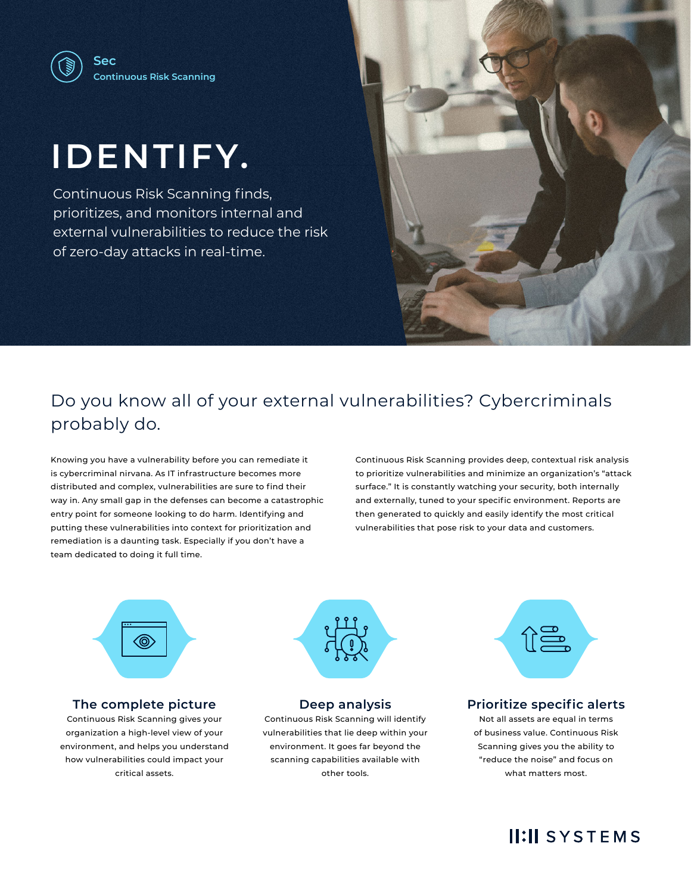# **IDENTIFY.**

Continuous Risk Scanning finds, prioritizes, and monitors internal and external vulnerabilities to reduce the risk of zero-day attacks in real-time.



## Do you know all of your external vulnerabilities? Cybercriminals probably do.

Knowing you have a vulnerability before you can remediate it is cybercriminal nirvana. As IT infrastructure becomes more distributed and complex, vulnerabilities are sure to find their way in. Any small gap in the defenses can become a catastrophic entry point for someone looking to do harm. Identifying and putting these vulnerabilities into context for prioritization and remediation is a daunting task. Especially if you don't have a team dedicated to doing it full time.

Continuous Risk Scanning provides deep, contextual risk analysis to prioritize vulnerabilities and minimize an organization's "attack surface." It is constantly watching your security, both internally and externally, tuned to your specific environment. Reports are then generated to quickly and easily identify the most critical vulnerabilities that pose risk to your data and customers.



### **The complete picture**

Continuous Risk Scanning gives your organization a high-level view of your environment, and helps you understand how vulnerabilities could impact your critical assets.



#### **Deep analysis**

Continuous Risk Scanning will identify vulnerabilities that lie deep within your environment. It goes far beyond the scanning capabilities available with other tools.



### **Prioritize specific alerts**

Not all assets are equal in terms of business value. Continuous Risk Scanning gives you the ability to "reduce the noise" and focus on what matters most.

### **II:II SYSTEMS**